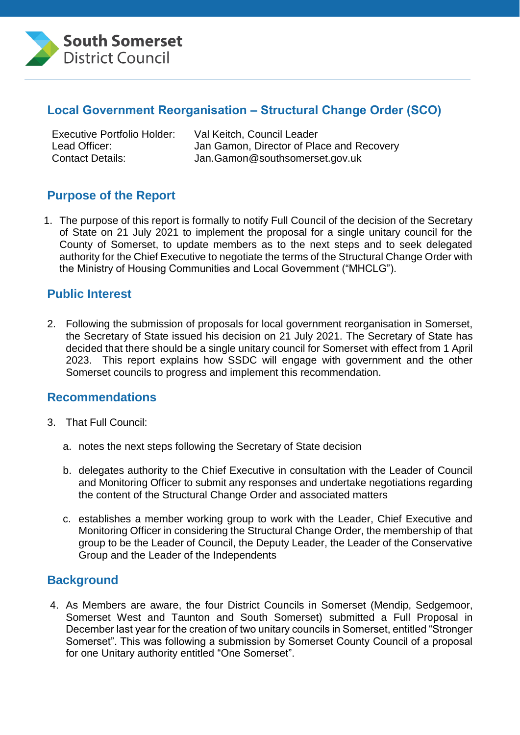

#### **Local Government Reorganisation – Structural Change Order (SCO)**

Executive Portfolio Holder: Val Keitch, Council Leader

Lead Officer: Jan Gamon, Director of Place and Recovery Contact Details: Jan.Gamon@southsomerset.gov.uk

# **Purpose of the Report**

1. The purpose of this report is formally to notify Full Council of the decision of the Secretary of State on 21 July 2021 to implement the proposal for a single unitary council for the County of Somerset, to update members as to the next steps and to seek delegated authority for the Chief Executive to negotiate the terms of the Structural Change Order with the Ministry of Housing Communities and Local Government ("MHCLG").

#### **Public Interest**

2. Following the submission of proposals for local government reorganisation in Somerset, the Secretary of State issued his decision on 21 July 2021. The Secretary of State has decided that there should be a single unitary council for Somerset with effect from 1 April 2023. This report explains how SSDC will engage with government and the other Somerset councils to progress and implement this recommendation.

#### **Recommendations**

- 3. That Full Council:
	- a. notes the next steps following the Secretary of State decision
	- b. delegates authority to the Chief Executive in consultation with the Leader of Council and Monitoring Officer to submit any responses and undertake negotiations regarding the content of the Structural Change Order and associated matters
	- c. establishes a member working group to work with the Leader, Chief Executive and Monitoring Officer in considering the Structural Change Order, the membership of that group to be the Leader of Council, the Deputy Leader, the Leader of the Conservative Group and the Leader of the Independents

#### **Background**

4. As Members are aware, the four District Councils in Somerset (Mendip, Sedgemoor, Somerset West and Taunton and South Somerset) submitted a Full Proposal in December last year for the creation of two unitary councils in Somerset, entitled "Stronger Somerset". This was following a submission by Somerset County Council of a proposal for one Unitary authority entitled "One Somerset".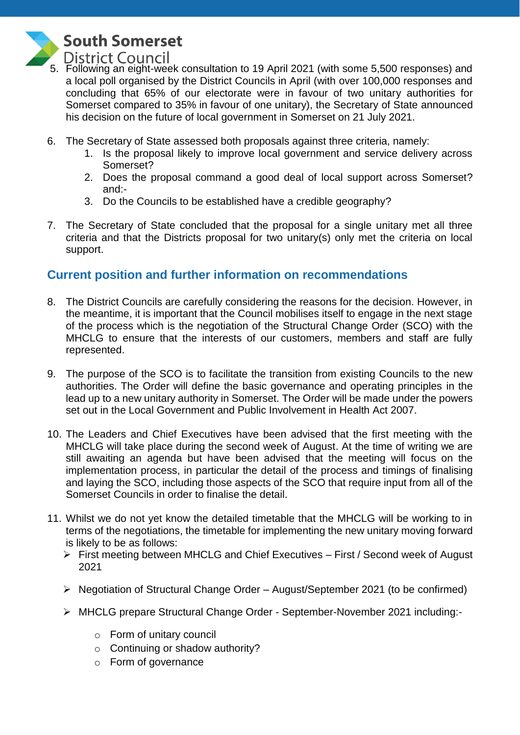

# **South Somerset**

5. Following an eight-week consultation to 19 April 2021 (with some 5,500 responses) and a local poll organised by the District Councils in April (with over 100,000 responses and concluding that 65% of our electorate were in favour of two unitary authorities for Somerset compared to 35% in favour of one unitary), the Secretary of State announced his decision on the future of local government in Somerset on 21 July 2021.

- 6. The Secretary of State assessed both proposals against three criteria, namely:
	- 1. Is the proposal likely to improve local government and service delivery across Somerset?
	- 2. Does the proposal command a good deal of local support across Somerset? and:-
	- 3. Do the Councils to be established have a credible geography?
- 7. The Secretary of State concluded that the proposal for a single unitary met all three criteria and that the Districts proposal for two unitary(s) only met the criteria on local support.

# **Current position and further information on recommendations**

- 8. The District Councils are carefully considering the reasons for the decision. However, in the meantime, it is important that the Council mobilises itself to engage in the next stage of the process which is the negotiation of the Structural Change Order (SCO) with the MHCLG to ensure that the interests of our customers, members and staff are fully represented.
- 9. The purpose of the SCO is to facilitate the transition from existing Councils to the new authorities. The Order will define the basic governance and operating principles in the lead up to a new unitary authority in Somerset. The Order will be made under the powers set out in the Local Government and Public Involvement in Health Act 2007.
- 10. The Leaders and Chief Executives have been advised that the first meeting with the MHCLG will take place during the second week of August. At the time of writing we are still awaiting an agenda but have been advised that the meeting will focus on the implementation process, in particular the detail of the process and timings of finalising and laying the SCO, including those aspects of the SCO that require input from all of the Somerset Councils in order to finalise the detail.
- 11. Whilst we do not yet know the detailed timetable that the MHCLG will be working to in terms of the negotiations, the timetable for implementing the new unitary moving forward is likely to be as follows:
	- First meeting between MHCLG and Chief Executives First / Second week of August 2021
	- $\triangleright$  Negotiation of Structural Change Order August/September 2021 (to be confirmed)
	- MHCLG prepare Structural Change Order September-November 2021 including:
		- o Form of unitary council
		- o Continuing or shadow authority?
		- o Form of governance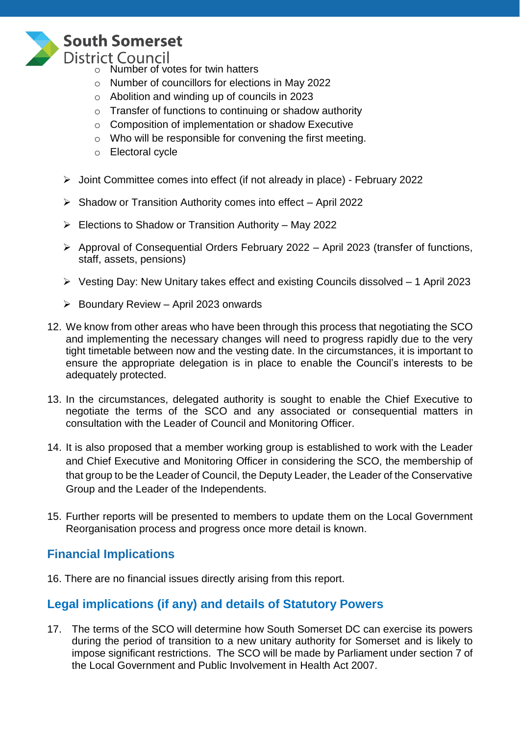

# **South Somerset**

**District Council** 

- o Number of votes for twin hatters
- o Number of councillors for elections in May 2022
- o Abolition and winding up of councils in 2023
- o Transfer of functions to continuing or shadow authority
- o Composition of implementation or shadow Executive
- o Who will be responsible for convening the first meeting.
- o Electoral cycle
- Joint Committee comes into effect (if not already in place) February 2022
- $\triangleright$  Shadow or Transition Authority comes into effect April 2022
- $\triangleright$  Elections to Shadow or Transition Authority May 2022
- Approval of Consequential Orders February 2022 April 2023 (transfer of functions, staff, assets, pensions)
- Vesting Day: New Unitary takes effect and existing Councils dissolved 1 April 2023
- $\triangleright$  Boundary Review April 2023 onwards
- 12. We know from other areas who have been through this process that negotiating the SCO and implementing the necessary changes will need to progress rapidly due to the very tight timetable between now and the vesting date. In the circumstances, it is important to ensure the appropriate delegation is in place to enable the Council's interests to be adequately protected.
- 13. In the circumstances, delegated authority is sought to enable the Chief Executive to negotiate the terms of the SCO and any associated or consequential matters in consultation with the Leader of Council and Monitoring Officer.
- 14. It is also proposed that a member working group is established to work with the Leader and Chief Executive and Monitoring Officer in considering the SCO, the membership of that group to be the Leader of Council, the Deputy Leader, the Leader of the Conservative Group and the Leader of the Independents.
- 15. Further reports will be presented to members to update them on the Local Government Reorganisation process and progress once more detail is known.

# **Financial Implications**

16. There are no financial issues directly arising from this report.

# **Legal implications (if any) and details of Statutory Powers**

17. The terms of the SCO will determine how South Somerset DC can exercise its powers during the period of transition to a new unitary authority for Somerset and is likely to impose significant restrictions. The SCO will be made by Parliament under section 7 of the Local Government and Public Involvement in Health Act 2007.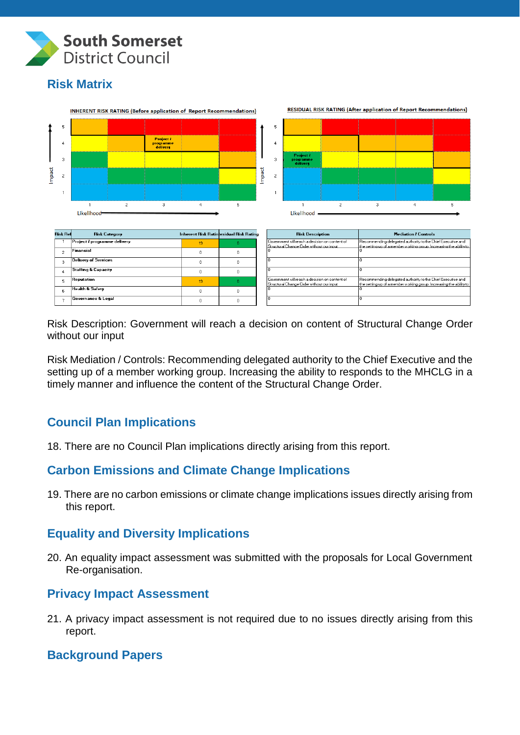

# **Risk Matrix**



Risk Description: Government will reach a decision on content of Structural Change Order without our input

Risk Mediation / Controls: Recommending delegated authority to the Chief Executive and the setting up of a member working group. Increasing the ability to responds to the MHCLG in a timely manner and influence the content of the Structural Change Order.

# **Council Plan Implications**

18. There are no Council Plan implications directly arising from this report.

# **Carbon Emissions and Climate Change Implications**

19. There are no carbon emissions or climate change implications issues directly arising from this report.

#### **Equality and Diversity Implications**

20. An equality impact assessment was submitted with the proposals for Local Government Re-organisation.

#### **Privacy Impact Assessment**

21. A privacy impact assessment is not required due to no issues directly arising from this report.

#### **Background Papers**